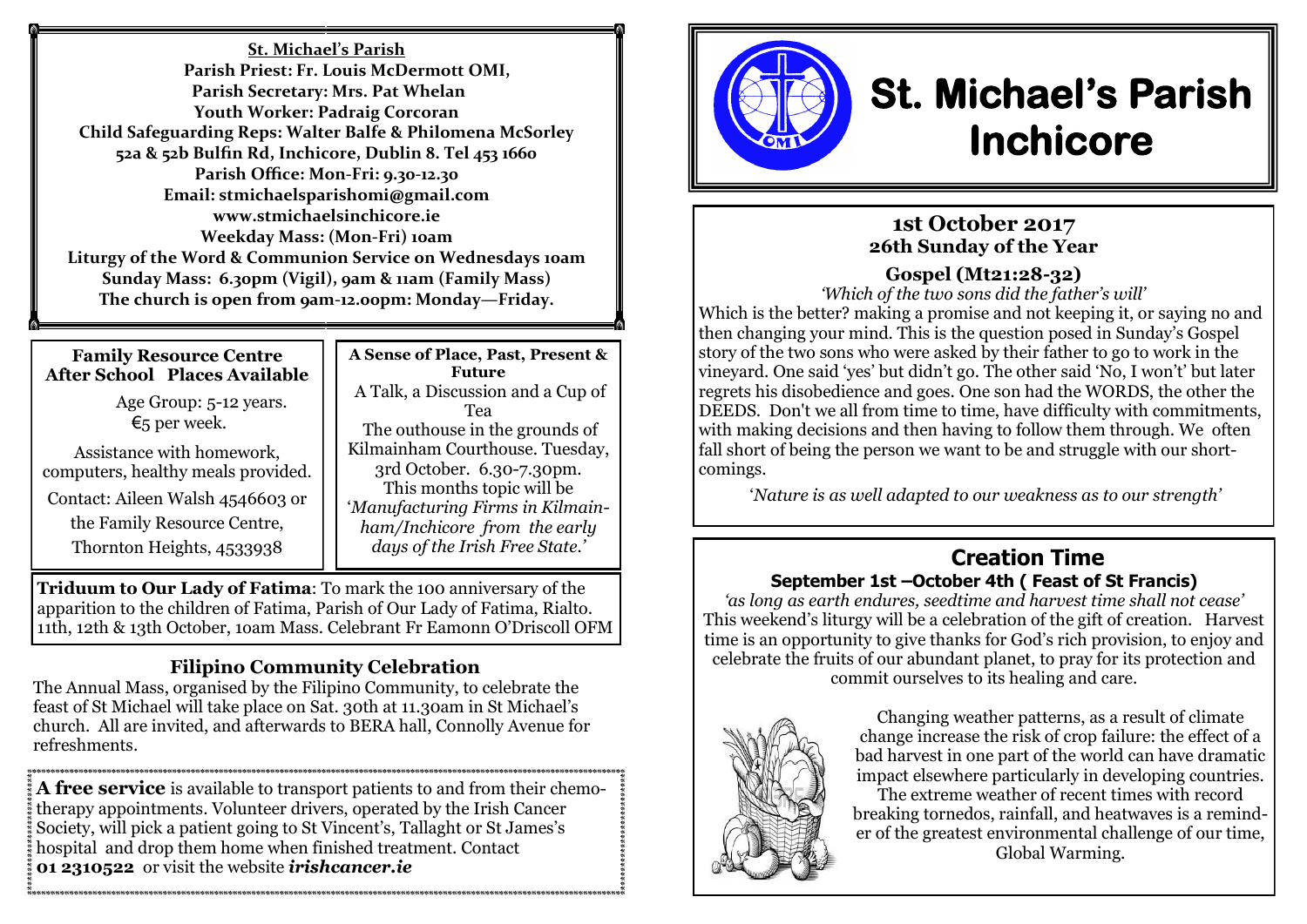**St. Michael's Parish Parish Priest: Fr. Louis McDermott OMI, Parish Secretary: Mrs. Pat Whelan Youth Worker: Padraig Corcoran Child Safeguarding Reps: Walter Balfe & Philomena McSorley 52a & 52b Bulfin Rd, Inchicore, Dublin 8. Tel 453 1660 Parish Office: Mon-Fri: 9.30-12.30 Email: stmichaelsparishomi@gmail.com www.stmichaelsinchicore.ie Weekday Mass: (Mon-Fri) 10am Liturgy of the Word & Communion Service on Wednesdays 10am Sunday Mass: 6.30pm (Vigil), 9am & 11am (Family Mass) The church is open from 9am-12.00pm: Monday—Friday.**

#### **Family Resource Centre After School Places Available**

 Age Group: 5-12 years. €5 per week.

Assistance with homework, computers, healthy meals provided. Contact: Aileen Walsh 4546603 or the Family Resource Centre, Thornton Heights, 4533938

**A Sense of Place, Past, Present & Future** A Talk, a Discussion and a Cup of Tea The outhouse in the grounds of Kilmainham Courthouse. Tuesday, 3rd October. 6.30-7.30pm. This months topic will be '*Manufacturing Firms in Kilmainham/Inchicore from the early days of the Irish Free State.'*

**Triduum to Our Lady of Fatima**: To mark the 100 anniversary of the apparition to the children of Fatima, Parish of Our Lady of Fatima, Rialto. 11th, 12th & 13th October, 1oam Mass. Celebrant Fr Eamonn O'Driscoll OFM

# **Filipino Community Celebration**

The Annual Mass, organised by the Filipino Community, to celebrate the feast of St Michael will take place on Sat. 30th at 11.30am in St Michael's church. All are invited, and afterwards to BERA hall, Connolly Avenue for refreshments.

**A free service** is available to transport patients to and from their chemotherapy appointments. Volunteer drivers, operated by the Irish Cancer Society, will pick a patient going to St Vincent's, Tallaght or St James's hospital and drop them home when finished treatment. Contact **01 2310522** or visit the website *irishcancer.ie*



# **St. Michael's Parish Inchicore**

# **1st October 2017 26th Sunday of the Year**

# **Gospel (Mt21:28-32)**

*'Which of the two sons did the father's will'* Which is the better? making a promise and not keeping it, or saying no and then changing your mind. This is the question posed in Sunday's Gospel story of the two sons who were asked by their father to go to work in the vineyard. One said 'yes' but didn't go. The other said 'No, I won't' but later regrets his disobedience and goes. One son had the WORDS, the other the DEEDS. Don't we all from time to time, have difficulty with commitments, with making decisions and then having to follow them through. We often fall short of being the person we want to be and struggle with our shortcomings.

'*Nature is as well adapted to our weakness as to our strength'* 

#### **Creation Time September 1st –October 4th ( Feast of St Francis)**

*'as long as earth endures, seedtime and harvest time shall not cease'* This weekend's liturgy will be a celebration of the gift of creation. Harvest time is an opportunity to give thanks for God's rich provision, to enjoy and celebrate the fruits of our abundant planet, to pray for its protection and commit ourselves to its healing and care.



Changing weather patterns, as a result of climate change increase the risk of crop failure: the effect of a bad harvest in one part of the world can have dramatic impact elsewhere particularly in developing countries. The extreme weather of recent times with record breaking tornedos, rainfall, and heatwaves is a reminder of the greatest environmental challenge of our time, Global Warming.